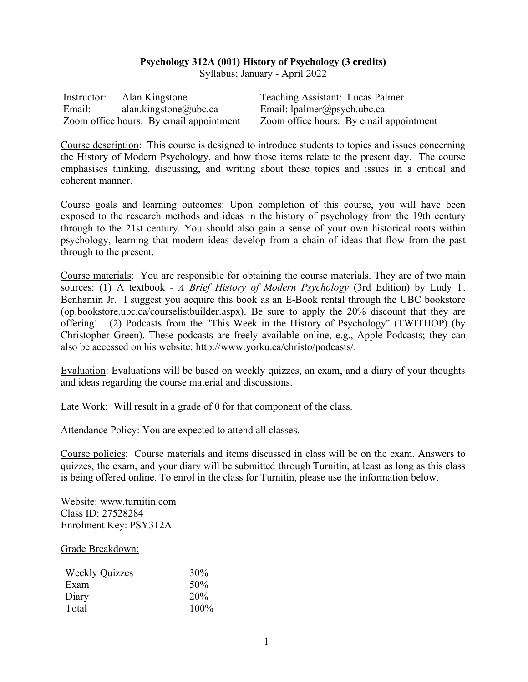# **Psychology 312A (001) History of Psychology (3 credits)**

Syllabus; January - April 2022

| Instructor: | Alan Kingstone                          | Teaching Assistant: Lucas Palmer        |
|-------------|-----------------------------------------|-----------------------------------------|
| Email:      | alan.kingstone@ubc.ca                   | Email: $l$ palmer@psych.ubc.ca          |
|             | Zoom office hours: By email appointment | Zoom office hours: By email appointment |

Course description: This course is designed to introduce students to topics and issues concerning the History of Modern Psychology, and how those items relate to the present day. The course emphasises thinking, discussing, and writing about these topics and issues in a critical and coherent manner.

Course goals and learning outcomes: Upon completion of this course, you will have been exposed to the research methods and ideas in the history of psychology from the 19th century through to the 21st century. You should also gain a sense of your own historical roots within psychology, learning that modern ideas develop from a chain of ideas that flow from the past through to the present.

Course materials: You are responsible for obtaining the course materials. They are of two main sources: (1) A textbook - *A Brief History of Modern Psychology* (3rd Edition) by Ludy T. Benhamin Jr. I suggest you acquire this book as an E-Book rental through the UBC bookstore (op.bookstore.ubc.ca/courselistbuilder.aspx). Be sure to apply the 20% discount that they are offering! (2) Podcasts from the "This Week in the History of Psychology" (TWITHOP) (by Christopher Green). These podcasts are freely available online, e.g., Apple Podcasts; they can also be accessed on his website: http://www.yorku.ca/christo/podcasts/.

Evaluation: Evaluations will be based on weekly quizzes, an exam, and a diary of your thoughts and ideas regarding the course material and discussions.

Late Work: Will result in a grade of 0 for that component of the class.

Attendance Policy: You are expected to attend all classes.

Course policies: Course materials and items discussed in class will be on the exam. Answers to quizzes, the exam, and your diary will be submitted through Turnitin, at least as long as this class is being offered online. To enrol in the class for Turnitin, please use the information below.

Website: www.turnitin.com Class ID: 27528284 Enrolment Key: PSY312A

#### Grade Breakdown:

| <b>Weekly Quizzes</b> | 30%  |
|-----------------------|------|
| Exam                  | 50%  |
| Diary                 | 20%  |
| Total                 | 100% |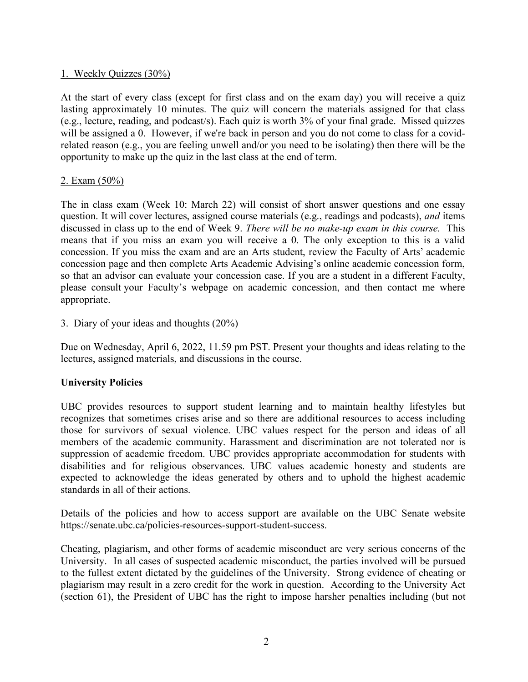# 1. Weekly Quizzes (30%)

At the start of every class (except for first class and on the exam day) you will receive a quiz lasting approximately 10 minutes. The quiz will concern the materials assigned for that class (e.g., lecture, reading, and podcast/s). Each quiz is worth 3% of your final grade. Missed quizzes will be assigned a 0. However, if we're back in person and you do not come to class for a covidrelated reason (e.g., you are feeling unwell and/or you need to be isolating) then there will be the opportunity to make up the quiz in the last class at the end of term.

### 2. Exam (50%)

The in class exam (Week 10: March 22) will consist of short answer questions and one essay question. It will cover lectures, assigned course materials (e.g., readings and podcasts), *and* items discussed in class up to the end of Week 9. *There will be no make-up exam in this course.* This means that if you miss an exam you will receive a 0. The only exception to this is a valid concession. If you miss the exam and are an Arts student, review the Faculty of Arts' academic concession page and then complete Arts Academic Advising's online academic concession form, so that an advisor can evaluate your concession case. If you are a student in a different Faculty, please consult your Faculty's webpage on academic concession, and then contact me where appropriate.

# 3. Diary of your ideas and thoughts (20%)

Due on Wednesday, April 6, 2022, 11.59 pm PST. Present your thoughts and ideas relating to the lectures, assigned materials, and discussions in the course.

# **University Policies**

UBC provides resources to support student learning and to maintain healthy lifestyles but recognizes that sometimes crises arise and so there are additional resources to access including those for survivors of sexual violence. UBC values respect for the person and ideas of all members of the academic community. Harassment and discrimination are not tolerated nor is suppression of academic freedom. UBC provides appropriate accommodation for students with disabilities and for religious observances. UBC values academic honesty and students are expected to acknowledge the ideas generated by others and to uphold the highest academic standards in all of their actions.

Details of the policies and how to access support are available on the UBC Senate website https://senate.ubc.ca/policies-resources-support-student-success.

Cheating, plagiarism, and other forms of academic misconduct are very serious concerns of the University. In all cases of suspected academic misconduct, the parties involved will be pursued to the fullest extent dictated by the guidelines of the University. Strong evidence of cheating or plagiarism may result in a zero credit for the work in question. According to the University Act (section 61), the President of UBC has the right to impose harsher penalties including (but not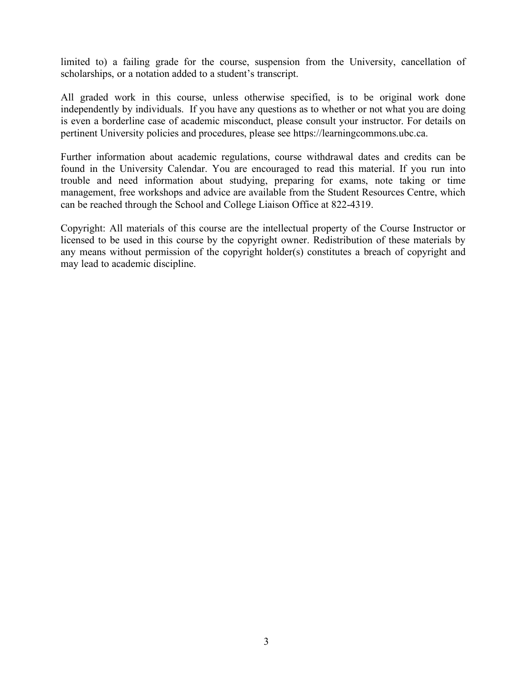limited to) a failing grade for the course, suspension from the University, cancellation of scholarships, or a notation added to a student's transcript.

All graded work in this course, unless otherwise specified, is to be original work done independently by individuals. If you have any questions as to whether or not what you are doing is even a borderline case of academic misconduct, please consult your instructor. For details on pertinent University policies and procedures, please see https://learningcommons.ubc.ca.

Further information about academic regulations, course withdrawal dates and credits can be found in the University Calendar. You are encouraged to read this material. If you run into trouble and need information about studying, preparing for exams, note taking or time management, free workshops and advice are available from the Student Resources Centre, which can be reached through the School and College Liaison Office at 822-4319.

Copyright: All materials of this course are the intellectual property of the Course Instructor or licensed to be used in this course by the copyright owner. Redistribution of these materials by any means without permission of the copyright holder(s) constitutes a breach of copyright and may lead to academic discipline.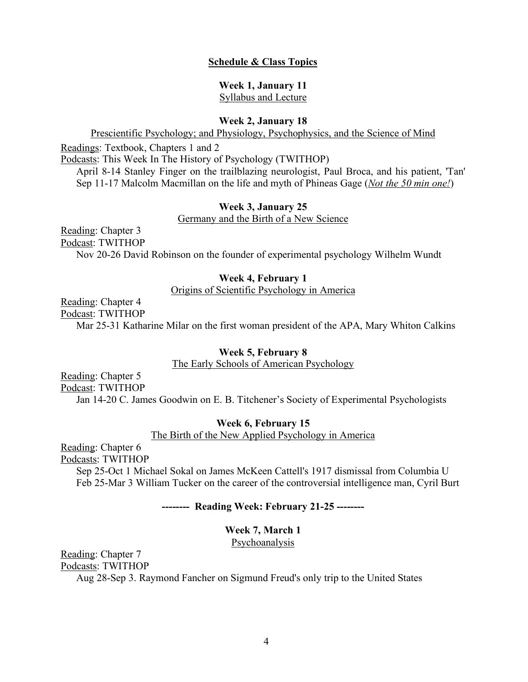#### **Schedule & Class Topics**

# **Week 1, January 11**

Syllabus and Lecture

### **Week 2, January 18**

Prescientific Psychology; and Physiology, Psychophysics, and the Science of Mind

Readings: Textbook, Chapters 1 and 2

Podcasts: This Week In The History of Psychology (TWITHOP)

April 8-14 Stanley Finger on the trailblazing neurologist, Paul Broca, and his patient, 'Tan' Sep 11-17 Malcolm Macmillan on the life and myth of Phineas Gage (*Not the 50 min one!*)

#### **Week 3, January 25**

Germany and the Birth of a New Science

Reading: Chapter 3 Podcast: TWITHOP Nov 20-26 David Robinson on the founder of experimental psychology Wilhelm Wundt

#### **Week 4, February 1**

Origins of Scientific Psychology in America

Reading: Chapter 4

Podcast: TWITHOP

Mar 25-31 Katharine Milar on the first woman president of the APA, Mary Whiton Calkins

#### **Week 5, February 8**

The Early Schools of American Psychology

Reading: Chapter 5 Podcast: TWITHOP

Jan 14-20 C. James Goodwin on E. B. Titchener's Society of Experimental Psychologists

### **Week 6, February 15**

The Birth of the New Applied Psychology in America

Reading: Chapter 6

Podcasts: TWITHOP

Sep 25-Oct 1 Michael Sokal on James McKeen Cattell's 1917 dismissal from Columbia U Feb 25-Mar 3 William Tucker on the career of the controversial intelligence man, Cyril Burt

# **-------- Reading Week: February 21-25 --------**

# **Week 7, March 1**

Psychoanalysis

Reading: Chapter 7 Podcasts: TWITHOP

Aug 28-Sep 3. Raymond Fancher on Sigmund Freud's only trip to the United States